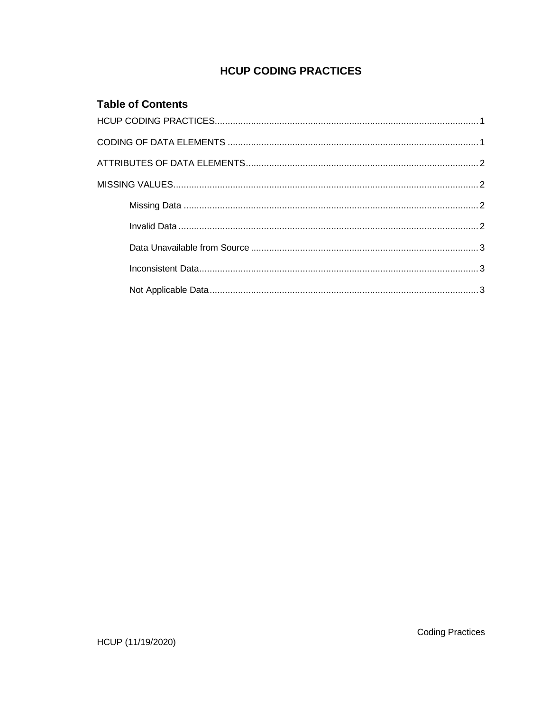# **HCUP CODING PRACTICES**

## **Table of Contents**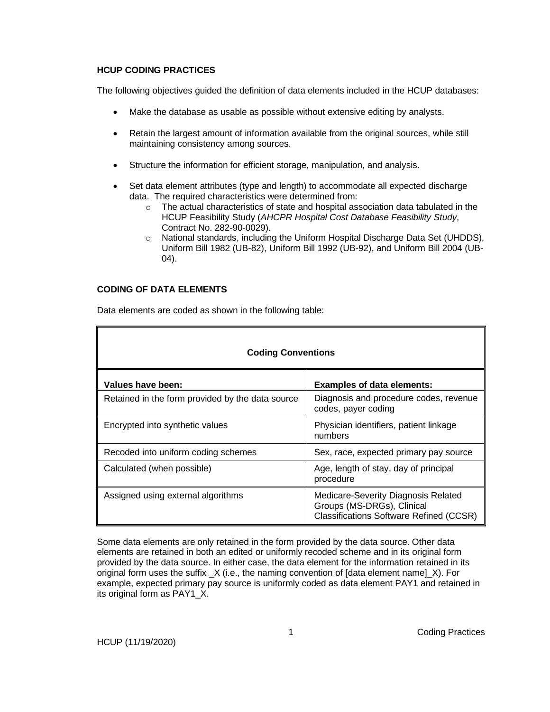### **HCUP CODING PRACTICES**

The following objectives guided the definition of data elements included in the HCUP databases:

- Make the database as usable as possible without extensive editing by analysts.
- Retain the largest amount of information available from the original sources, while still maintaining consistency among sources.
- Structure the information for efficient storage, manipulation, and analysis.
- Set data element attributes (type and length) to accommodate all expected discharge data. The required characteristics were determined from:
	- $\circ$  The actual characteristics of state and hospital association data tabulated in the HCUP Feasibility Study (*AHCPR Hospital Cost Database Feasibility Study*, Contract No. 282-90-0029).
	- o National standards, including the Uniform Hospital Discharge Data Set (UHDDS), Uniform Bill 1982 (UB-82), Uniform Bill 1992 (UB-92), and Uniform Bill 2004 (UB-04).

## **CODING OF DATA ELEMENTS**

| <b>Coding Conventions</b>                        |                                                                                                                     |  |
|--------------------------------------------------|---------------------------------------------------------------------------------------------------------------------|--|
| Values have been:                                | <b>Examples of data elements:</b>                                                                                   |  |
| Retained in the form provided by the data source | Diagnosis and procedure codes, revenue<br>codes, payer coding                                                       |  |
| Encrypted into synthetic values                  | Physician identifiers, patient linkage<br>numbers                                                                   |  |
| Recoded into uniform coding schemes              | Sex, race, expected primary pay source                                                                              |  |
| Calculated (when possible)                       | Age, length of stay, day of principal<br>procedure                                                                  |  |
| Assigned using external algorithms               | Medicare-Severity Diagnosis Related<br>Groups (MS-DRGs), Clinical<br><b>Classifications Software Refined (CCSR)</b> |  |

Data elements are coded as shown in the following table:

Some data elements are only retained in the form provided by the data source. Other data elements are retained in both an edited or uniformly recoded scheme and in its original form provided by the data source. In either case, the data element for the information retained in its original form uses the suffix \_X (i.e., the naming convention of [data element name]\_X). For example, expected primary pay source is uniformly coded as data element PAY1 and retained in its original form as PAY1\_X.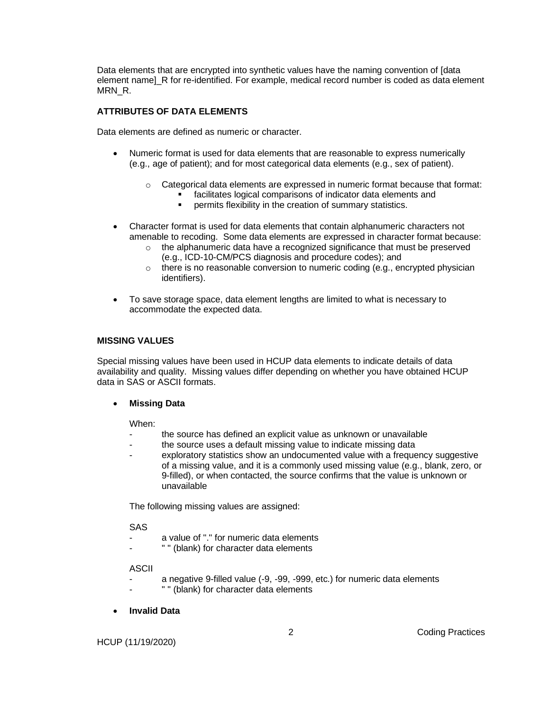Data elements that are encrypted into synthetic values have the naming convention of [data element name]\_R for re-identified. For example, medical record number is coded as data element MRN\_R.

## **ATTRIBUTES OF DATA ELEMENTS**

Data elements are defined as numeric or character.

- Numeric format is used for data elements that are reasonable to express numerically (e.g., age of patient); and for most categorical data elements (e.g., sex of patient).
	- $\circ$  Categorical data elements are expressed in numeric format because that format:
		- facilitates logical comparisons of indicator data elements and
		- permits flexibility in the creation of summary statistics.
- Character format is used for data elements that contain alphanumeric characters not amenable to recoding. Some data elements are expressed in character format because:
	- $\circ$  the alphanumeric data have a recognized significance that must be preserved (e.g., ICD-10-CM/PCS diagnosis and procedure codes); and
	- $\circ$  there is no reasonable conversion to numeric coding (e.g., encrypted physician identifiers).
- To save storage space, data element lengths are limited to what is necessary to accommodate the expected data.

#### **MISSING VALUES**

Special missing values have been used in HCUP data elements to indicate details of data availability and quality. Missing values differ depending on whether you have obtained HCUP data in SAS or ASCII formats.

#### • **Missing Data**

When:

- the source has defined an explicit value as unknown or unavailable
- the source uses a default missing value to indicate missing data
- exploratory statistics show an undocumented value with a frequency suggestive of a missing value, and it is a commonly used missing value (e.g., blank, zero, or 9-filled), or when contacted, the source confirms that the value is unknown or unavailable

The following missing values are assigned:

#### SAS

- a value of "." for numeric data elements
- " " (blank) for character data elements

#### ASCII

- a negative 9-filled value (-9, -99, -999, etc.) for numeric data elements
- " " (blank) for character data elements
- **Invalid Data**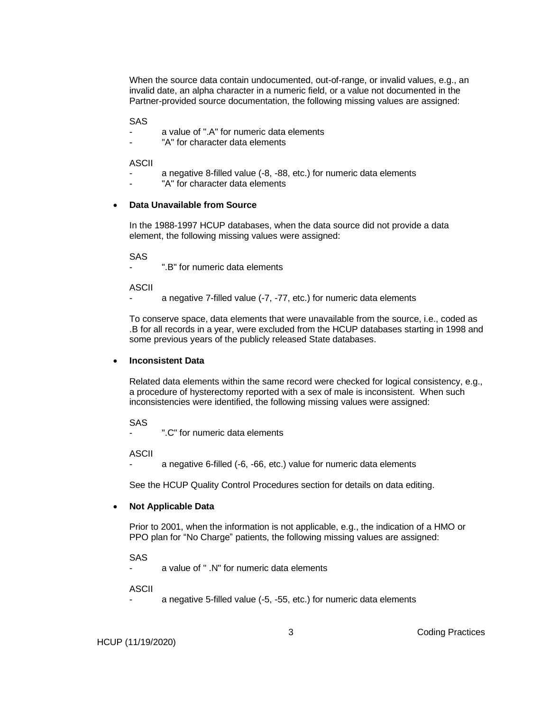When the source data contain undocumented, out-of-range, or invalid values, e.g., an invalid date, an alpha character in a numeric field, or a value not documented in the Partner-provided source documentation, the following missing values are assigned:

SAS

- a value of ".A" for numeric data elements
- "A" for character data elements

ASCII

- a negative 8-filled value (-8, -88, etc.) for numeric data elements
- "A" for character data elements

#### • **Data Unavailable from Source**

In the 1988-1997 HCUP databases, when the data source did not provide a data element, the following missing values were assigned:

SAS

".B" for numeric data elements

ASCII

a negative 7-filled value (-7, -77, etc.) for numeric data elements

To conserve space, data elements that were unavailable from the source, i.e., coded as .B for all records in a year, were excluded from the HCUP databases starting in 1998 and some previous years of the publicly released State databases.

#### • **Inconsistent Data**

Related data elements within the same record were checked for logical consistency, e.g., a procedure of hysterectomy reported with a sex of male is inconsistent. When such inconsistencies were identified, the following missing values were assigned:

SAS

- ".C" for numeric data elements

ASCII

a negative 6-filled (-6, -66, etc.) value for numeric data elements

See the HCUP Quality Control Procedures section for details on data editing.

#### • **Not Applicable Data**

Prior to 2001, when the information is not applicable, e.g., the indication of a HMO or PPO plan for "No Charge" patients, the following missing values are assigned:

SAS

a value of " .N" for numeric data elements

ASCII

a negative 5-filled value (-5, -55, etc.) for numeric data elements